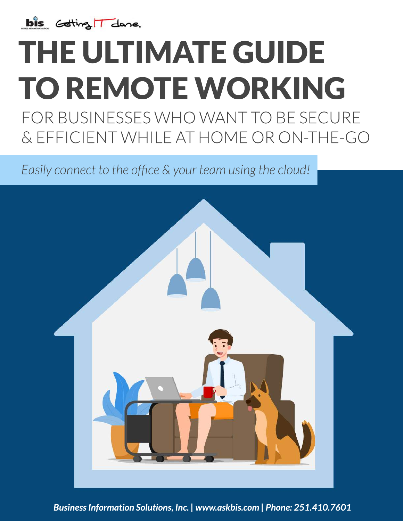

# THE ULTIMATE GUIDE TO REMOTE WORKING FOR BUSINESSES WHO WANT TO BE SECURE &EFFICIENTWHILEATHOMEORON-THE-GO

*Easily connect to the office & your team using the cloud!* 

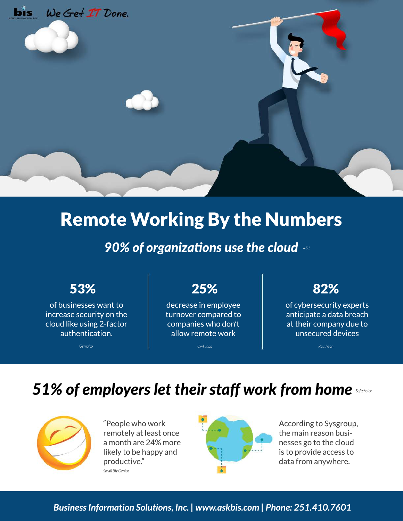

# **Remote Working By the Numbers**

### 90% of organizations use the cloud 451

### 53%

of businesses want to increase security on the cloud like using 2-factor authentication.

Gemalto

# 25%

decrease in employee turnover compared to companies who don't allow remote work

Owl Labs

## 82%

of cybersecurity experts anticipate a data breach at their company due to unsecured devices

Ravtheon

# 51% of employers let their staff work from home



"People who work remotely at least once a month are 24% more likely to be happy and productive." Small Biz Genius



According to Sysgroup, the main reason businesses go to the cloud is to provide access to data from anywhere.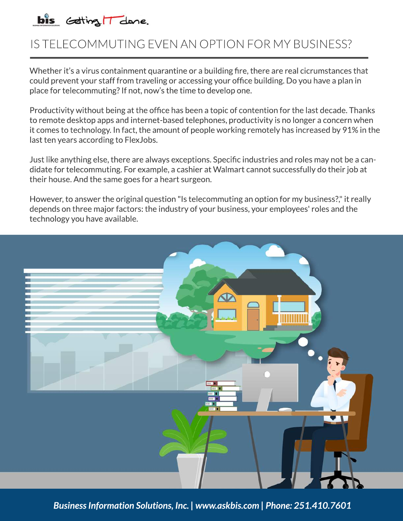

## IS TELECOMMUTING EVEN AN OPTION FOR MY BUSINESS?

Whether it's a virus containment quarantine or a building fire, there are real cicrumstances that could prevent your staff from traveling or accessing your office building. Do you have a plan in place for telecommuting? If not, now's the time to develop one.

Productivity without being at the office has been a topic of contention for the last decade. Thanks to remote desktop apps and internet-based telephones, productivity is no longer a concern when it comes to technology. In fact, the amount of people working remotely has increased by 91% in the last ten years according to FlexJobs.

Just like anything else, there are always exceptions. Specific industries and roles may not be a candidate for telecommuting. For example, a cashier at Walmart cannot successfully do their job at their house. And the same goes for a heart surgeon.

However, to answer the original question "Is telecommuting an option for my business?," it really depends on three major factors: the industry of your business, your employees' roles and the technology you have available.

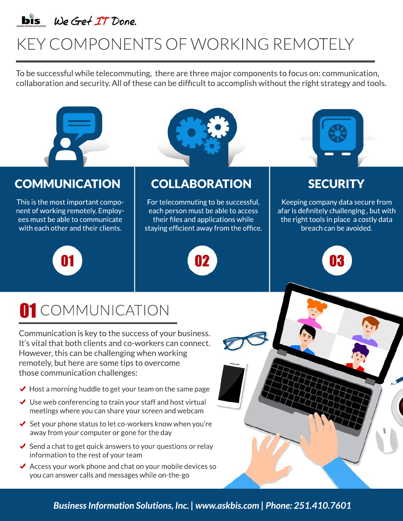

# KEY COMPONENTS OF WORKING REMOTELY

To be successful while telecommuting, there are three major components to focus on: communication, collaboration and security. All of these can be difficult to accomplish without the right strategy and tools.



# COMMUNICATION COLLABORATION SECURITY

This is the most important component of working remotely. Employees must be able to communicate with each other and their clients.

For telecommuting to be successful, each person must be able to access their files and applications while staying efficient away from the office.



Keeping company data secure from afar is definitely challenging, but with the right tools in place a costly data breach can be avoided.









Communication is key to the success of your business. It's vital that both clients and co-workers can connect. However, this can be challenging when working remotely, but here are some tips to overcome those communication challenges:

- $\blacktriangleright$  Host a morning huddle to get your team on the same page
- $\bigvee$  Use web conferencing to train your staff and host virtual meetings where you can share your screen and webcam
- $\triangleleft$  Set your phone status to let co-workers know when you're away from your computer or gone for the day
- $\triangleleft$  Send a chat to get quick answers to your questions or relay information to the rest of your team
- Access your work phone and chat on your mobile devices so  $\blacktriangledown$ you can answer calls and messages while on-the-go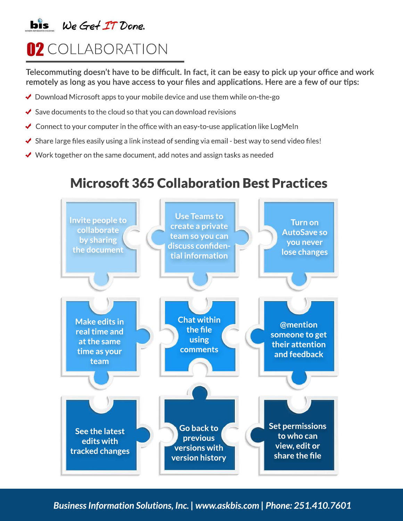## $\mathbf{bis}$  We Get IT Done.

# **02** COLLABORATION

Telecommuting doesn't have to be difficult. In fact, it can be easy to pick up your office and work remotely as long as you have access to your files and applications. Here are a few of our tips:

- $\blacktriangleright$  Download Microsoft apps to your mobile device and use them while on-the-go
- ◆ Save documents to the cloud so that you can download revisions
- ← Connect to your computer in the office with an easy-to-use application like LogMeIn
- ◆ Share large files easily using a link instead of sending via email best way to send video files!
- $\checkmark$  Work together on the same document, add notes and assign tasks as needed

# **Microsoft 365 Collaboration Best Practices**

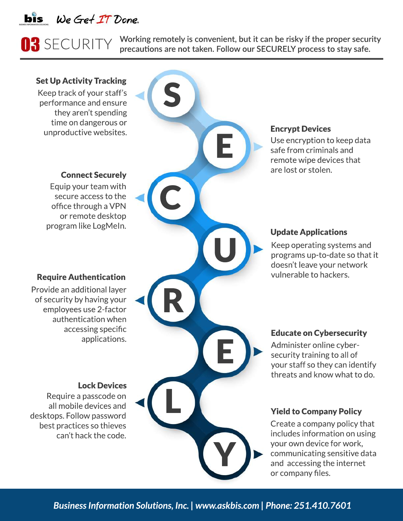

# **03** SECURITY

Working remotely is convenient, but it can be risky if the proper security precautions are not taken. Follow our SECURELY process to stay safe.

### **Set Up Activity Tracking**

Keep track of your staff's performance and ensure they aren't spending time on dangerous or unproductive websites.

### **Connect Securely**

Equip your team with secure access to the office through a VPN or remote desktop program like LogMeln.

### **Require Authentication**

Provide an additional layer of security by having your employees use 2-factor authentication when accessing specific applications.

#### **Lock Devices**

Require a passcode on all mobile devices and desktops. Follow password best practices so thieves can't hack the code.

#### **Encrypt Devices**

Use encryption to keep data safe from criminals and remote wipe devices that are lost or stolen.

### **Update Applications**

Keep operating systems and programs up-to-date so that it doesn't leave your network vulnerable to hackers.

### **Educate on Cybersecurity**

Administer online cybersecurity training to all of your staff so they can identify threats and know what to do.

#### **Yield to Company Policy**

Create a company policy that includes information on using your own device for work, communicating sensitive data and accessing the internet or company files.